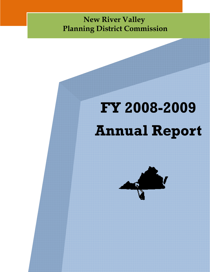# **New River Valley Planning District Commission**

# **FY 2008-2009 Annual Report**

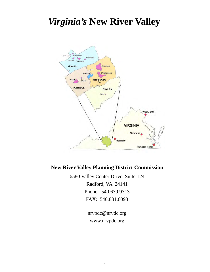# *Virginia's* **New River Valley**



# **New River Valley Planning District Commission**

6580 Valley Center Drive, Suite 124 Radford, VA 24141 Phone: 540.639.9313 FAX: 540.831.6093

> nrvpdc@nrvdc.org www.nrvpdc.org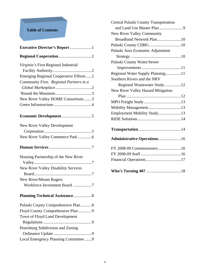# **Table of Contents**

| Executive Director's Report 1           |
|-----------------------------------------|
|                                         |
| Virginia's First Regional Industrial    |
|                                         |
| Emerging Regional Cooperative Efforts 2 |
| Community First: Regional Partners in a |
|                                         |
|                                         |
| New River Valley HOME Consortium3       |
|                                         |
|                                         |
| <b>New River Valley Development</b>     |
|                                         |
| New River Valley Commerce Park 6        |
|                                         |
| Housing Partnership of the New River    |
|                                         |
| New River Valley Disability Services    |
|                                         |
| <b>New River/Mount Rogers</b>           |
| Workforce Investment Board 7            |
|                                         |
| Pulaski County Comprehensive Plan8      |
| Floyd County Comprehensive Plan 9       |
| Town of Floyd Land Development          |
|                                         |
| Pearisburg Subdivision and Zoning       |
|                                         |
| Local Emergency Planning Committee9     |

| Central Pulaski County Transportation |
|---------------------------------------|
| and Land Use Master Plan 9            |
| New River Valley Community            |
| Broadband Network Plan10              |
|                                       |
| Pulaski Area Economic Adjustment      |
|                                       |
| Pulaski County Water/Sewer            |
|                                       |
| Regional Water Supply Planning11      |
| Southern Rivers and the NRV           |
| Regional Wastewater Study12           |
| New River Valley Hazard Mitigation    |
|                                       |
|                                       |
| Mobility Management13                 |
| Employment Mobility Study13           |
|                                       |
|                                       |
|                                       |
| <b>Administrative Operations16</b>    |
| FY 2008-09 Commissioners 16           |
|                                       |
|                                       |
|                                       |
|                                       |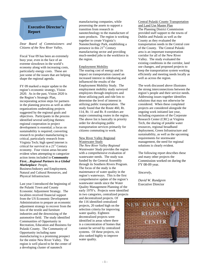#### **Executive Director's Report**

*Dear Board of Commissioners and Citizens of the New River Valley,* 

Fiscal Year 09 has been an extremely busy year, even in the face of an extreme slowdown in the world's economy along with increasing costs, particularly energy costs. These are just some of the issues that are helping shape the regional agenda.

FY 09 marked a major update to the region's economic strategy, Vision 2020. As in the past, Vision 2020 is the Region's Strategic Plan, incorporating action steps for partners in the planning process as well as other organizations undertaking projects suggested by the regional goals and objectives. Participants in the process identified several unifying themes: regional cooperation in project development is essential; a focus on sustainability is required; converting research to product manufacturing is critical, particularly research from Virginia Tech; high speed internet is critical for survival in a  $21<sup>st</sup>$  Century economy. Four vision areas became evident when attempting to categorize action items included in **Community First…***Regional Partners in a Global Marketplace*: People,

Business/Industry and Employment, Natural and Cultural Resources, and Physical Infrastructure.

Last year I introduced the beginning of the Pulaski Town and County Economic Adjustment Strategy. The localities received financial support from the US Economic Development Administration to prepare an economic adjustment strategy to recover from the loss of the textile and furniture industries and the downsizing of the automotive field. The study identified Communities of Opportunity in Recreation, Education and Business for Pulaski County. The Community of Opportunity including nano manufacturing is a promising prospect for the entire New River Valley. The region is well placed to be the center of a developing cluster of nanotech

manufacturing companies, while possessing the assets to support a transition from research in nanotechnology to the manufacture of nano products. The region is working together to create Virginia's Nanotechnology Park, establishing a presence in this  $21<sup>st</sup>$  Century manufacturing sector and providing much-needed jobs to the workforce in the region.

#### Employment Mobility

The soaring cost of energy and its impact on transportation caused an increased interest in ridesharing and influenced the results of the Employment Mobility Study. The employment mobility study surveyed employees through employers and those utilizing park and ride lots to determine the level of interest in utilizing public transportation. The study found that the Route 460, Rt. 114, Rt. 11 and Rt. 8 corridors are major commuting routes in the region. The above list is basically in priority order for developing public transportation services primarily for citizens commuting to work.

#### New River Valley Regional Wastewater Study

*The New River Valley Regional Wastewater Study* provides the region with a comprehensive evaluation of wastewater needs. The study was funded by the General Assembly through its Southern Rivers Program. The focus of the study is the maintenance of water quality in the region's waterways. This is the first comprehensive update of the region's wastewater needs since the Water Quality Management Planning of the early 1970's. Projects were identified in two categories, centralized projects

and decentralized projects. Of the 116 identified centralized projects, 20 ranked high on the selection criteria for improving water quality. Eighteen decentralized projects were identified in areas where there is a concentration of homes that cannot be served by centralized systems. Of these projects, six also ranked highly to improve water quality.

Central Pulaski County Transportation and Land Use Master Plan The Planning District Commission provided staff support to the towns of Dublin and Pulaski as well as the County as they evaluated the transportation needs in the Central core of the County. The Central Pulaski area is an important transportation corridor for all of the New River Valley. The study evaluated the existing conditions in the corridor, land use changes, and proposed projects to keep the transportation system working efficiently and meeting needs locally as well as across the region.

The work discussed above illustrates the strong interconnections between the region's people and their service needs. Addressing issues together identifies solutions that may not otherwise be considered. When these completed projects are considered alongside the ongoing work initiated last year, including expansion of the Corporate Research Center (CRC) at Virginia Tech, the sharing of potable water resources, regional broadband deployment, Green Infrastructure and sustainability, as well as the upcoming requirements for stormwater management, the need for regional solutions is clearly evident.

The following report describes these and many other projects the Commission worked on during the FY 08-09 year.

*Sincerely,* 

*David W. Rundgren* Executive Director

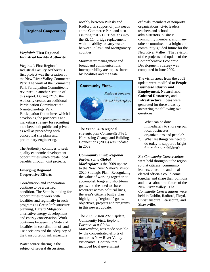# **Regional Cooperation**

#### *Virginia's* **First Regional Industrial Facility Authority**

*Virginia's* First Regional Industrial Facility Authority's first project was the creation of the New River Valley Commerce Park. The work of the Commerce Park Participation Committee is reviewed in another section of this report. During FY09, the Authority created an additional Participation Committee: the Nanotechnology Park Participation Committee, which is developing the prospectus and marketing strategy for recruiting members both public and private as well as proceeding with conceptual site plans and preliminary engineering.

The Authority continues to seek quality economic development opportunities which create local benefits through joint projects.

#### **Emerging Regional Cooperative Efforts**

Coordination and cooperation continue to be a desired condition. The State is looking for opportunities to work with localities and regionally in such programs as Green Infrastructure planning, Hazard Mitigation, alternative energy development and energy conservation. Work continues between the State and localities in coordination of land use decisions and the adequacy of the transportation infrastructure.

Water source sharing is the subject of several discussions, notably between Pulaski and Radford, in support of joint needs at the Commerce Park and also assuring that VDOT designs into the Rt. 114 bridge replacement with the ability to carry water between Pulaski and Montgomery counties.

Stormwater management and broadband communications interoperability are topics shared by localities and the State.



The *Vision 2020* regional strategic plan *Community First*: Harnessing Change and Building Connections (2003) was updated in 2009.

# **Community First:** *Regional Partners in a Global*

*Marketplace* is the 2009 update to the New River Valley's Vision 2020 Strategic Plan. Recognizing the value of working together, to accomplish long- and short-term goals, and the need to share resources across political lines, the area's citizens built a plan highlighting "regional" goals, objectives, projects and programs in this newest update.

The 2009 *Vision 2020* Update, Community First: *Regional Partners in a Global Marketplace*, was made possible by the concentrated efforts of numerous New River Valley visionaries. Contributors included local government

officials, members of nonprofit organizations, civic leaders, teachers and school administrators, business community members, and many others committed to a bright and community-guided future for the New River Valley. The revision of the projects and update of the Comprehensive Economic Development Strategy was completed in June 2009.

The vision areas from the 2003 update were modified to **People, Business/Industry and Employment, Natural and Cultural Resources,** and **Infrastructure.** Ideas were generated for these areas by answering the following two questions:

- 1. What can be done immediately to shore up our local businesses, organizations and people?
- 2. What are things we need to do today to support a bright future for our children?

Six *Community Conversations*  were held throughout the region so that citizens, community leaders, educators and local elected officials could come together and share their opinions and ideas about the future of the New River Valley. The *Community Conversations* were held in Dublin, Radford, Floyd, Christiansburg, Pearisburg, and Shawsville.

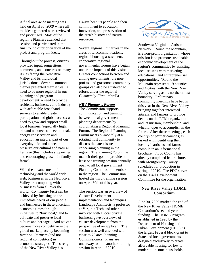A final area-wide meeting was held on April 30, 2009 where all the ideas gathered were reviewed and prioritized. Most of the region's Planners attended that session and participated in the final round of prioritization of the project and program ideas.

Throughout the process, citizens provided input, suggestions, comments, and concerns on many issues facing the New River Valley and its individual jurisdictions. Several common themes presented themselves: a need to be more regional in our planning and program development; a need to provide residents, businesses and industry with affordable broadband services to enable greater participation and global access; a need to grow and support small local business (especially high, bio and nanotech); a need to make energy conservation and education an integral part of our everyday life; and a need to preserve our cultural and natural heritage (this includes supporting and encouraging growth in family farms).

With the advancement of technology and the world wide web, businesses in the New River Valley are competing with businesses from all over the world. *Community First* can be achieved by focusing on the immediate needs of our people and businesses in these uncertain economic times through initiatives to "buy local," and to cultivate and preserve local culture and heritage. And we can become more competitive in the global marketplace by becoming *Regional Partners* (and not regional competitors) in economic strategies. The strength of the New River Valley has

always been its people and their commitment to education, innovation, and preservation of the area's history and natural resources.

Several regional initiatives in the areas of telecommunications, regional housing assessment, and cooperative regional governmental forums have begun under the impetus of this vision. Greater connections between and among governments, the nonprofits, and grassroots community groups can also be attributed to efforts under the regional *Community First* umbrella.

#### *NRV Planner's Forum*

The Commission supports communication and training between local government planning departments by coordinating a Regional Planning Forum. The Regional Planning Forum meets bi-monthly at a rotating host community to discuss the latest issues concerning planning in the region. The Planning Forum has made it their goal to provide at least one training session annually open to all local government Planning Commission members in the region. The Commission hosted the third training session on April 30th of this year.

The session was an overview of Cluster Development implementation and techniques. Landscape Architects, a professor at Virginia Tech and others involved with a local private business, gave overviews of cluster development from the perspective of an applicant. The session was well attended with close to 70 area Planning Commissioners. Plans are underway to hold another training session in April of 2010.



Southwest Virginia's Artisan Network, 'Round the Mountain, is a non-profit organization whose mission is to promote sustainable economic development of the region's communities by assisting local artisans with marketing, educational, and entrepreneurial opportunities. 'Round the Mountain represents 19 counties and 4 cities, with the New River Valley serving as its northernmost boundary. Preliminary community meetings have begun this year in the New River Valley bringing together interested artisans and farmers to provide details on the RTM organization and its mission, membership, and what it hopes to accomplish in the future. After these meetings, each county (or partner counties) is tasked with identifying their locality's artisans and farms to compile in an informational brochure. Floyd County has already completed its brochure, with Montgomery County scheduled for production in spring of 2010. The PDC serves on the Trail Development Committee for the organization.

#### **New River Valley HOME Consortium**

June 30, 2009 marked the end of the New River Valley HOME Consortium's second year of funding. The HOME Program, established in 1990 by the Department of Housing and Urban Development (HUD), is the largest Federal block grant to State and local governments designed exclusively to create affordable housing for low to moderate-income households.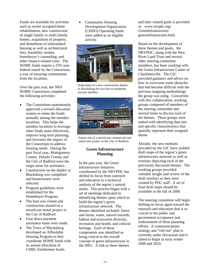Funds are available for activities such as owner occupied home rehabilitation, new construction of single family or multi-family homes, acquisition of property, and demolition of substandard housing as well as architectural fees, feasibility studies, homebuyer's counseling, and other finance-related costs. The HOME funds require a 25% nonfederal match by the Consortium, a way of ensuring commitment from the localities.

Over the past year, the NRV HOME Consortium completed the following activities:

- The Consortium unanimously approved a revised allocation system to rotate the funds annually among the member localities. This helps the member localities to leverage other funds more effectively, improve long term planning, and increases the impact of the Consortium to address housing needs. During the past fiscal year, Montgomery County, Pulaski County and the City of Radford were the target areas for assistance.
- Construction on the duplex in Blacksburg was completed and homeowners were selected.
- Program guidelines were established for the Homebuyer Program.
- The loan was closed and construction started on a mixed-use rental project in the City of Radford.
- Four down payment assistance loans were made.
- The Town of Blacksburg developed an Affordable Housing Program to best coordinate HOME funds with its annual allocation of CDBG Entitlement funds.

• Community Housing Development Organization (CHDO) Operating funds were added as an eligible activity.



Dedication of a new construction duplex in Blacksburg for two low-to-moderate income families.



Future site of a mixed-use commercial and rental unit project in the City of Radford.

#### **Green Infrastructure Planning**

In the past year, the Green Infrastructure Initiative, coordinated by the NRVPDC has shifted its focus from outreach and education to a technical analysis of the region's natural assets. This process began with a set of meetings dedicated to identifying themes upon which to build the region's green infrastructure network. The themes identified included: forest and farms, water, natural hazards, habitat and ecosystem diversity, recreation and health, and cultural heritage. Each of these components was identified as being critical to the overall concept of green infrastructure in the NRV. A link to these themes

and their related goals is provided at: www.nrvpdc.org/ GreenInfrastructure/ greeninfrastructure.html.

Based on the development of these themes and goals, the NRVPDC, along with the New River Land Trust and several other steering committee members, has been working with the Green Infrastructure Center of Charlottesville. The GIC provided guidance and advice on how to overcome some obstacles that had become difficult with the previous mapping methodology the group was using. Concurrent with this collaboration, working groups composed of members of the steering committee met several times to discuss each of the themes. These groups were tasked with identifying data sets and specific characteristics that spatially represent their assigned theme.

Already, the new methods provided by the GIC have yielded draft maps of the region's green infrastructure network as well as overlays depicting each of the previously discussed themes. The working groups provided valuable insight and review of the draft overlays as they were created by PDC staff. A set of final draft maps should be available in the fall of 2009. The steering committee will begin

shifting its focus again toward the outreach and education that is so crucial to the public and government acceptance and endorsement of these planning efforts. A communications strategy and "roll-out" plan is currently under discussion and is slated to begin in early winter 2009 and 2010.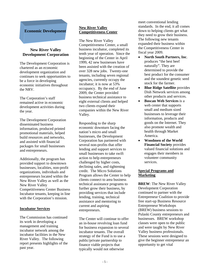# **Economic Development**

#### **New River Valley Development Corporation**

The Development Corporation is chartered as an economic development organization and continues to seek opportunities to be a force in developing economic initiatives throughout the NRV.

The Corporation's staff remained active in economic development activities during the year.

The Development Corporation disseminated business information, produced printed promotional materials, helped build resources and networks, and assisted with financial packages for small businesses and entrepreneurs.

Additionally, the program has provided support to downtown businesses, localities, non-profit organizations, individuals and entrepreneurs located within the New River Valley as well as the New River Valley Competitiveness Center Business Incubator tenants, keeping in line with the Corporation's mission.

#### **Incubator Services**

The Commission has continued its work in developing a management and training incubator network among the incubator facilities in the New River Valley. The following report presents highlights of the past year.

#### **New River Valley Competitiveness Center**

The New River Valley Competitiveness Center, a small business incubator, completed its tenth year of operation. Since the beginning of the Center in April 1999, 42 new businesses have been assisted with the creation of over 328 new jobs. Twenty-one tenants, including seven regional agencies, currently occupy the incubator; it is now at 53% occupancy. By the end of June 2009, the Center provided business technical assistance to eight external clients and helped two clients expand their companies within the New River Valley.

Responding to the sharp economic downturn facing the nation's micro and small businesses, the Development Corporation has partnered with several non-profits that offer lending and support services to small businesses to take swift action to help entrepreneurs challenged by higher costs, declining sales, and tightening credit. The Micro Solutions Program allows the Center to help clients connect to area business technical assistance programs to further grow their business, by providing services that include lending, training, technical assistance and mentoring to current and aspiring entrepreneurs.

The Center will continue to offer an in-house revolving loan fund for business expansion to several incubator tenants. The overall strategy of the Fund is to use a public/private partnership to finance viable projects that typically would not otherwise

meet conventional lending standards. In the end, it all comes down to helping clients get what they need to grow their business. The following new tenants expanded their business within the Competitiveness Center in fiscal year 2009.

- **North South Partners, Inc**. produces "the best beef naturally". They are determined to provide the best product for the consumer and the soundest genetic seed stock for the farmer.
- **•** Blue Ridge Satellite provides Dish Network services among other products and services.
- **Boscan Web Services** is a web center that supports small and medium sized businesses to leverage their information, products and goods on the Internet. They also promote wealth and health through Market America.
- **Woodmen of the World Financial Society** provides valued financial solutions and engages their members in volunteer community services.

#### **Special Programs and Marketing**

**BREW**: The New River Valley Development Corporation continued to partner with the Entrepreneur Coalition to provide free start-up Business Resource Entrepreneur Workshops (BREW) business sessions to Pulaski County entrepreneurs and businesses. BREW workshop classes were open to the public and were taught by New River Valley business professionals. These sessions were designed to give the beginner entrepreneur an opportunity to get vital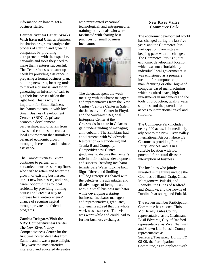information on how to get a business started.

**Competitiveness Center Works With External Clients:** Business

incubation programs catalyze the process of starting and growing companies by providing entrepreneurs with the expertise, networks and tools they need to make their ventures successful. The Center focuses on start-up needs by providing assistance in preparing a formal business plan, building networks, locating tools to market a business, and aid in generating an infusion of cash to get their businesses off on the right foot. This is why it's important for Small Business Incubators to team up with local Small Business Development Centers (SBDC's), private economic development partnerships, and officials from towns and counties to create a local environment that stimulates balanced economic growth through job creation and business assistance.

The Competitiveness Center continues to partner with networks to nurture start-up firms who wish to retain and foster the growth of existing businesses, attract new businesses, and bring career opportunities to local residents by providing training courses and create a way to increase local entrepreneurs' chance of securing capital through private and federal programs.

# **Zambia Delegates Visit the NRV Competitiveness Center:**

The New River Valley Competitiveness Center for the first time hosted delegates from Zambia and it was a pure delight. They were the most attentive, interested and educated delegates who represented vocational, technological, and entrepreneurial training; individuals who were fascinated with sharing best practices for small business incubators.



The delegates spent the week meeting with incubator managers and representatives from the New Century Venture Center in Salem, the Jacksonville Center in Floyd, and the Southwest Regional Enterprise Center at the Crossroads Institute in Galax to gain understanding of managing an incubator. The Zambians had appointments with Woodworks Restoration & Remodeling and Trenia B and Company, Competitiveness Center graduates, to discuss the Center's role in their business development and success. Residing incubator tenants Safe Water, Luxine Inc., Signs Direct, and Smiling Bulldog Enterprises shared with the delegates the advantages and disadvantages of being located within a small business incubator while developing a startup business. Incubator managers and representatives, graduates, and tenants agreed that the whole week was a success. This visit was worthwhile and could lead to further business exchanges.

# **New River Valley Commerce Park**

The economic development world has changed during the last five years and the Commerce Park Participation Committee is keeping pace with the changes. The Commerce Park is a joint economic development location which was not affordable by individual local governments. It was envisioned as a premiere location for computer chip manufacturing or other high-end computer based manufacturing which required space, high investments in machinery and the tools of production, quality water supplies, and the potential for access to international travel and shipping.

The Commerce Park includes nearly 900 acres, is immediately adjacent to the New River Valley International Airport where US Customs is providing Port of Entry Services, and is in a suitable location with low potential for natural disaster interruption of business.

The localities who jointly invested in the future include the Counties of Bland, Craig, Giles, Montgomery, Pulaski, and Roanoke, the Cities of Radford and Roanoke, and the Towns of Dublin, Pearisburg, and Pulaski.

The eleven member Participation Committee has elected Chris McKlarney, Giles County representative, as its Chairman; Basil Edwards, City of Radford representative, as Vice Chairman; and Shawn Utt, Pulaski County representative as Secretary/Treasurer. During FY 08-09, the Participation Committee, as co-applicant with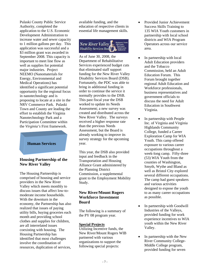Pulaski County Public Service Authority, completed the application to the U.S. Economic Development Administration to increase water and sewer capacity to 1 million gallons per day. This application was successful and a \$3 million grant was awarded in September 2008. This capacity is important to meet line flow as well as supplies for potential major industries. Project NEEMO (Nanomaterials for Energy, Environmental and Medical Operations) has identified a significant potential opportunity for the regional focus in nanotechnology and is proposing to locate at a site in the NRV Commerce Park. Pulaski Town and County are leading the effort to establish the Virginia Nanotechnology Park and a Participation Committee within the *Virginia's* First framework.

#### **Human Services**

#### **Housing Partnership of the New River Valley**

The Housing Partnership is comprised of housing and service providers in the New River Valley which meets monthly to discuss issues that affect low-tomoderate income households. With the downturn in the economy, the Partnership has also realized that issues of paying utility bills, buying groceries each month and providing school clothes and supplies for children, are all interrelated issues coexisting with housing. The Housing Partnership has identified that most challenges involve the coordination of resources, duplication of services,

available funding, and the education of respective clients in essential life management skills.



As of June 30, 2008, the Department of Rehabilitative Services experienced budget cuts that eliminated staff support funding for the New River Valley Disability Services Board (DSB). Fortunately, the PDC was able to bring in additional funding in order to continue the service it normally provides to the DSB. This past fiscal year the DSB worked to update its Needs Assessment; a new survey was created and distributed across the New River Valley. The surveys received a higher response rate than the previous Needs Assessment, but the Board is already working to improve its survey strategy for the upcoming year.

This year, the DSB also provided input and feedback in the Transportation and Housing Alliance Grant administered by the Planning District Commission, a supplemental grant to the Employment Mobility Study.

# **New River/Mount Rogers Workforce Investment Board**

The following is a summary of the PY 08 program year.

#### **Special Projects**

Utilizing Incentive funds, the New River/Mount Rogers WIB partnered with various organizations to support the following special projects:

- Provided Junior Achievement Success Skills Training to 135 WIA Youth customers in partnership with local school districts and WIA Program Operators across our service area.
- In partnership with local Adult Education providers and the Tobacco Commission, held an Adult Education Forum. This Forum brought together regional Adult Education and Workforce professionals, business representatives and government officials to discuss the need for Adult Education in Southwest Virginia.
- In partnership with People Inc. of Virginia and Virginia Highlands Community College, funded a Career Exploration Camp for WIA Youth. This camp offered exposure to various career occupations throughout a week-long camp. Fifty-three (53) WIA Youth from the counties of Washington, Smyth, Wythe and Bland as well as Bristol City explored several different occupations. The camp had guest speakers and various activities designed to expose the youth to as many career occupations as possible.
- In partnership with Goodwill Industries of the Valleys, provided funding for work experience incentives to WIA youth within the New River Valley.
- In partnership with the New River Community College-Middle College program, provided funding for seven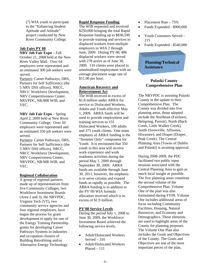(7) WIA youth to participate in the "Enhancing Student Aptitude and Attitude" project conducted by New River Community College.

#### **Job Fairs PY 08**

**NRV Job Fair Expo** – Fall October 21, 2008 held at the New River Valley Mall. Over 64 employers were represented and an estimated 300 job seekers were served.

Partners: Career Pathways, DRS, Partners for Self Sufficiency (the 5 NRV DSS offices), NRCC, NRCC Workforce Development, NRV Competitiveness Center, NRVPDC, NR/MR WIB, and VEC.

**NRV Job Fair Expo** – Spring April 2, 2009 held at New River Community College. Over 50 employers were represented and an estimated 350 job seekers were served.

Partners: Career Pathways, DRS, Partners for Self Sufficiency (the 5 NRV DSS offices), NRCC, NRCC Workforce Development, NRV Competiveness Center, NRVPDC, NR/MR WIB, and VEC.

#### **Regional Collaboration**

A group of regional partners made up of representatives from five Community Colleges, two Workforce Investment Boards (Area 2 and 3), the NRVPDC, Virginia Tech (VT), two community service agencies and four regional employers, have begun the process for grant development to apply for one of the Energy Training Partnership grants for developing Career Pathways Systems in industries and occupation clusters of Building Retrofitting and/or Alternative Energy Technology.

#### **Rapid Response Funding**

The WIB requested and received \$250,000 bringing the total Rapid Response funding up to \$830,599 to provide training and services to displaced workers from multiple employers in WIA 2 through June, 2009. During PY 08, 486 displaced workers were served with 278 active as of June 30, 2009. 110 clients were placed in unsubsidized employment with an average placement wage rate of \$11.00 per hour.

#### **American Recovery and Reinvestment Act**

The WIB received in excess of \$1.8 million under ARRA for service to Dislocated Workers, Adults and Youth effective May 1, 2009. ARRA funds will be used to provide employment and training services to 155 Dislocated Workers, 100 adults and 375 youth clients. One main emphasis of ARRA funding is the "Summer Only" component for Youth. It is envisioned that 350 youth in this area will receive work experience and work readiness activities during the period May 1, 2009 through September 30, 2009. ARRA funds are available through June 30, 2011, however, the emphasis is to serve citizens and expand funds as rapidly as possible. The ARRA funding is in addition to the PY'09 WIA formula allocation received which is in excess of \$1.9 million.

#### **PY'08 Service Levels**

During the period July 1, 2008 to June 30, 2009, the Workforce Investment Board achieved the following service levels.

- Adult/Dislocated Workers Served  $-310$
- Adult/Dislocated Workers Placed – 111
- Placement Rate  $-75%$
- Funds Expended \$900,000
- Youth Customers Served 215
- Funds Expended \$540,000

**Planning/Technical Assistance** 

# **Pulaski County Comprehensive Plan**

The NRVPDC is assisting Pulaski County in the update to their Comprehensive Plan. The County was divided into five planning areas, those adopted include the Northeast (Fairlawn, Belspring, Parrott), North (Back Creek, Little Walker Creek), South (Snowville, Allisonia, Hiwassee), and Draper (Draper, Peak Creek). The Central Planning Area (Towns of Dublin and Pulaski) is awaiting approval.

During 2008-2009, the PDC facilitated two public input sessions associated with the Central Planning Area to gain as much local insight as possible. The five planning areas constitute the second volume of the Comprehensive Plan. Volume One of the plan was also formulated during FY09. Volume One includes additional areas of focus including Community Facilities, Housing, Natural Resources, and Economy and Demographics. These elements are used to highlight areas of the County for planning purposes. The Volume One Plan also includes the Goals and Objectives of the County. The Goals and Objectives are one of the most important pieces of the plan,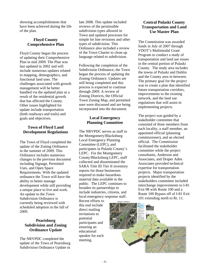showing accomplishments that have been achieved during the life of the plan.

# **Floyd County Comprehensive Plan**

Floyd County began the process of updating their Comprehensive Plan in mid 2009. The Plan was last updated in 2002 and will include numerous updates related to mapping, demographics, and functional land uses. The challenges associated with growth management will be better handled via the updated plan as a result of the residential growth that has affected the County. Other issues highlighted for update include transportation (both roadways and trails) and goals and objectives.

# **Town of Floyd Land Development Regulations**

The Town of Floyd completed the update of the Zoning Ordinance in the summer of 2009. This Ordinance includes numerous changes to the previous document including Signage, Permitted Uses, and Open Space Requirements. With the updated ordinance the Town will have the ability to better manage development while still providing a unique place to live and work. An update to the Town Subdivision Ordinance is currently being reviewed with scheduled adoption in the fall of 2009.

# **Pearisburg Subdivision and Zoning Ordinance Update**

The NRVPDC completed the update of the Town of Pearisburg Subdivision Ordinance Update in late 2008. This update included reviews of the permissible subdivision types allowed in Town and updated processes for simple lot line revisions and other types of subdivision. This Ordinance also included a review of the Town Charter to clean up language related to subdivision.

Following the completion of the Subdivision Ordinance, the Town began the process of updating the Zoning Ordinance. Updates are still being completed and this process is expected to continue through 2009. A review of Zoning Districts, the Official Town Zoning Map, and permitted uses were discussed and are being incorporated into the document.

# **Local Emergency Planning Committee**

The NRVPDC serves as staff to the Montgomery/Blacksburg Local Emergency Planning Committee (LEPC), and participates in Pulaski County's LEPC. For the Montgomery County/Blacksburg LEPC, staff collected and disseminated the SARA Title III Tier II inventory reports for those businesses required to make hazardous material data available to the public. The LEPC continues to broaden its partnerships to include industries, citizens, and local emergency response staff.

Recent efforts to this end include direct mailing invitations to potential participants and ensuring an educational speaker for each meeting.

**Central Pulaski County Transportation and Land Use Master Plan** 

The Commission was awarded funds in July of 2007 through VDOT's Multimodal Grant Program to conduct a study of transportation and land use issues in the central portion of Pulaski County. The study area includes the towns of Pulaski and Dublin and the County area in between. The primary goal for the project was to create a plan that identified future transportation corridors, improvements to the existing network, and the land use regulations that will assist in implementing projects.

The project was guided by a stakeholder committee that consisted of three members from each locality, a staff member, an appointed official (planning commissioner), and an elected official. The Commission facilitated the stakeholder committee while the project consultants, Anderson and Associates, and Draper Aden Associates provided technical expertise for transportation projects. Major transportation projects identified by the stakeholders committee included interchange improvements to I-81 Exit 98 with Route 100 and a Route 100 Bypass off of I-81 Exit 101 extending north to Rt. 11.

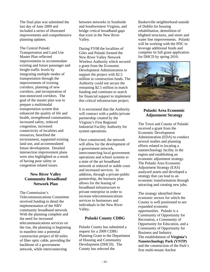The final plan was submitted the last day of June 2009 and included a series of illustrated improvements and comprehensive planning updates.

The Central Pulaski Transportation and Land Use Master Plan reflected improvements to accommodate existing and future passenger and freight traffic levels by integrating multiple modes of transportation through the improvements of existing corridors, planning of new corridors, and incorporation of non-motorized corridors. The goal of the master plan was to prepare a multimodal transportation system that enhanced the quality of life and health, strengthened communities, increased safety, reduced congestion, increased connectivity of localities and resources, benefited the environment, supported existing land use, and accommodated future development. Detailed intersection improvement plans were also highlighted as a result of having poor safety or congestion related issues.

# **New River Valley Community Broadband Network Plan**

The Commission's Telecommunications Committee received funding to detail the implementation of the NRV community broadband network. With the planning complete and the need for increased telecommunications services on the rise, the planning is beginning to manifest into a potential construction project of 60 miles of fiber optic cable, providing the backbone of a government network, while interconnecting

between networks in Southside and Southwestern Virginia, and bridge critical broadband gaps that exist in the New River Valley.

During FY08 the localities of Giles and Pulaski formed the New River Valley Network Wireless Authority which secured a grant from the Economic Development Administration to support the project with \$2.5 million in construction funds. The Authority could not secure the remaining \$2.5 million in match funding and continues to search for financial support to implement this critical infrastructure project.

It is envisioned that the Authority will contract with a public/private partnership created by the Virginia's First Regional Industrial Facility Authority for system operations.

Once constructed, the network will allow for the development of a government network, interconnecting local government operations and school systems to a state of the art broadband network at reduced or stable costs and increased services. In addition, through a private-public partnership, the business plan allows for the leasing of broadband infrastructure to private enterprise in order to increase telecommunications services to businesses and individuals in the New River Valley.

# **Pulaski County CDBG**

Pulaski County has submitted a request for a 2009 CDBG Planning Grant to the Department of Housing and Community Development (DHCD). The County has selected the

Baskerville neighborhood outside of Dublin for housing rehabilitation, demolition of blighted structures, and street and water line improvements. Pulaski will be working with the PDC to leverage additional funds and complete its full grant application for DHCD by spring 2010.



# **Pulaski Area Economic Adjustment Strategy**

The Town and County of Pulaski received a grant from the Economic Development Administration (EDA) to conduct several studies and planning efforts related to locating a nanotechnology facility in the region and establishing an economic adjustment strategy. The Pulaski Area Economic Adjustment Strategy (EAS) analyzed assets and developed a strategy that can lead to an economic transformation through attracting and creating new jobs.

The strategy identified three economic sectors for which the County is well positioned to see expanded economic opportunities. Pulaski is a Community of Opportunity for Recreation, a Community of Opportunity for Education, and a Community of Opportunity for Business and Industry. The establishment of **Virginia's Nanotechnology Park (VNTP)** and the construction of the Park's first multi-tenant Anchor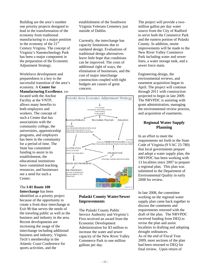Building are the area's number one priority projects designed to lead in the transformation of the economy from traditional manufacturing to a major position in the economy of the  $21<sup>st</sup>$ Century Virginia. The concept of Virginia's Nanotechnology Park has been a major component in the preparation of the Economic Adjustment Strategy.

Workforce development and preparedness is a key to the successful transition of the area's economy. A **Center for Manufacturing Excellence**, co-

located with the Anchor Facility at the VNTP, allows many benefits to both employers and workers. The concept of such a Center that has associations with the community college, the universities, apprenticeship programs, and employers has been in the community for a period of time. The State has committed funding to assist in its establishment, the educational institutions have committed teaching resources, and businesses see a need for such a Center.

# The **I-81 Route 100**

**Interchange** has been identified as a priority project because of the opportunity to create a front door interchange at Exit 98 that serves the needs of the traveling public as well as the business and industry in the area. Recent developments are increasing the usage of the interchange including additional business and industry, Virginia Tech's membership in the Atlantic Coast Conference for sports activities, and the

establishment of the Southwest Virginia Veterans Cemetery just outside of Dublin.

Currently, the interchange has capacity limitations due to outdated design. Evaluations of traditional design alternatives leave little hope that conditions can be improved. The costs of additional right of ways, the elimination of businesses, and the cost of major interchange construction coupled with tight budgets are causes of great concern.



# **Pulaski County Water/Sewer Improvements**

The Pulaski County Public Service Authority and *Virginia's* First received an award from the Economic Development Administration for \$3 million to increase the water and sewer capacity of the New River Valley Commerce Park to one million gallons per day.

The project will provide a twomillion gallon per day water source from the City of Radford to serve both the Commerce Park and the eastern portion of Pulaski County. In addition, onsite improvements will be made to the New River Valley Commerce Park including water and sewer lines, a water storage tank, and a sewer force main.

Engineering design, the environmental reviews, and easement acquisition began in April. The project will continue through 2011 with construction projected to begin in late 2009. The NRVPDC is assisting with grant administration, managing the environmental review process, and acquisition of easements.

# **Regional Water Supply Planning**

In an effort to meet the requirements set forth in the State Code of Virginia (9 VAC 25-780) that local governments prepare and adopt a water supply plan, the NRVPDC has been working with 13 localities since 2007 to prepare a regional plan. This plan was submitted to the Department of Environmental Quality in early 2008 for review.

In late 2008, the committee working on the regional water supply plan came back together to discuss the comments and requirements returned with the draft of the plan. The NRVPDC received funding from DEQ to revise the plan and assist localities in drafting and adopting drought ordinances. As of the end of Fiscal Year 2009, most sections of the plan had been returned to DEQ for final review. Upon return of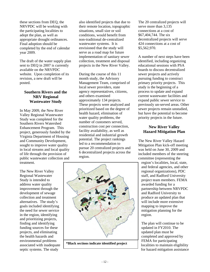these sections from DEQ, the NRVPDC will be working with the participating localities to adopt the plan, as well as appropriate drought ordinances. Final adoption should be completed by the end of calendar year 2009.

The draft of the water supply plan sent to DEQ in 2007 is currently available on the NRVPDC website. Upon completion of its revision, a new draft will be posted.

# **Southern Rivers and the NRV Regional Wastewater Study**

In May 2009, the New River Valley Regional Wastewater Study was completed for the Southern Rivers Watershed Enhancement Program. This project, generously funded by the Virginia Department of Housing and Community Development, sought to improve water quality in local streams and local quality of life through the provision of public wastewater collection and treatment.

The New River Valley Regional Wastewater Study is intended to address water quality improvement through the development of sewage collection and treatment alternatives. The study's goals included identifying the need for sewer service in the region, identifying and prioritizing projects, finding and identifying funding sources for these projects, and eliminating the health hazards and environmental problems associated with inadequate septic systems. The study

also identified projects that due to their remote location, topographic situations, small size or soil conditions, would benefit from non-traditional de-centralized wastewater systems. It is envisioned that the study will serve as a road map for future implementation of sanitary sewer collection, treatment and disposal projects in the New River Valley.

During the course of this 11 month study, the Advisory Management Team, comprised of local sewer providers, state agency representatives, citizens, and others examined approximately 134 projects. These projects were analyzed and prioritized based on the degree of health hazard, elimination of water quality problems, the number of customers served, construction cost per connection, facility availability, as well as residential and industrial growth potential. The project rankings led to a recommendation to pursue 20 centralized projects and 6 decentralized projects across the region.





The 20 centralized projects will serve more than 3,135 connections at a cost of \$67,404,744. The six decentralized projects will serve 424 connections at a cost of \$5,562,970.

A number of next steps have been identified, including organizing educational sessions with PSA boards to discuss decentralized sewer projects and actively pursuing funding to construct primary priority projects. This study is the beginning of a process to update and expand current wastewater facilities and expand public sewer service to previously un-served areas. Other sewer projects remain unstudied, but have the potential to become priority projects in the future.

# **New River Valley Hazard Mitigation Plan**

The New River Valley Hazard Mitigation Plan kick-off meeting was held on June 30, 2009 and included members of the steering committee (representing the

region's localities, local, state, and federal agencies, and other regional organizations), PDC staff, and Radford University project team members. FEMA awarded funding for a partnership between NRVPDC and Radford University to produce an updated plan that will include more extensive mapping to improve the mitigation planning for the region.

The plan will continue to be updated in FY2010. The updated plan must be completed and approved by FEMA for participating localities to maintain eligibility for hazard mitigation assistance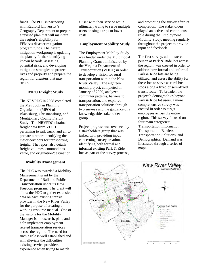funds. The PDC is partnering with Radford University's Geography Department to prepare a revised plan that will maintain the region's eligibility for FEMA's disaster mitigation program funds. The hazard mitigation workgroup is updating the plan by further identifying known hazards, assessing potential risks, and developing mitigation strategies to protect lives and property and prepare the region for disasters that may strike.

# **MPO Freight Study**

The NRVPDC in 2008 completed the Metropolitan Planning Organization (MPO) of Blacksburg, Christiansburg, and Montgomery County Freight Study. The NRVPDC obtained freight data from VDOT pertaining to rail, truck, and air to prepare a report identifying the major corridors for transporting freight. The report also details freight volumes, commodities, value, and origination/destination.

#### **Mobility Management**

The PDC was awarded a Mobility Management grant by the Department of Rail and Public Transportation under its New Freedom program. The grant will allow the PDC to gather extensive data on each existing transit provider in the New River Valley for the purpose of creating a working resource manual. One of the visions for the Mobility Manager is to research, plan, and help implement employment related transportation services across the region. The need for such a role is well established and will alleviate the difficulties existing service providers experience when trying to match

a user with their service while ultimately trying to serve multiple users on single trips to lower costs.

#### **Employment Mobility Stud***y*

The Employment Mobility Study was funded under the Multimodal Planning Grant administered by the Virginia Department of Transportation (VDOT) in order to develop a vision for rural transportation within the New River Valley. The eighteen month project, completed in January of 2009, analyzed commuter patterns, barriers to transportation, and explored transportation solutions through two surveys and the guidance of a knowledgeable stakeholder group.

Project progress was overseen by a stakeholders group that was tasked with providing input concerning survey creation, identifying both formal and informal existing Park & Ride lots as part of the survey process, and promoting the survey after its completion. The stakeholders played an active and continuous role during the Employment Mobility Study, meeting regularly throughout the project to provide input and feedback.

The first survey, administered in person at Park & Ride lots across the region, was created in order to address how formal and informal Park & Ride lots are being utilized, and assess the ability for these lots to serve as rural bus stops along a fixed or semi-fixed transit route. To broaden the project's demographics beyond Park & Ride lot users, a more comprehensive survey was created in order to target employees across the entire region. This survey focused on four main categories: Transportation Information, Transportation Barriers, Transportation Solutions, and Demographics. Demand was illustrated through a series of maps.

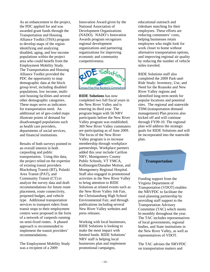As an enhancement to the project, the PDC applied for and was awarded grant funds through the Transportation and Housing Alliance Toolkit (THA) program to develop maps of the region identifying and analyzing disabled, aging, and low-income populations within the project area who could benefit from the Employment Mobility Study. The Transportation and Housing Alliance Toolkit provided the PDC the opportunity to map demographic data at the block group level, including disabled populations, low income, multiunit housing facilities and several other demographic categories. These maps serve as indicators for transportation need. An additional set of geo-coded maps illustrate points of demand for disadvantaged populations such as health care providers, departments of social services, and financial institutions.

Results of both surveys pointed to an overall interest in both carpooling and public transportation. Using this data, the project relied on the expertise of existing transit providers Blacksburg Transit (BT), Pulaski Area Transit (PAT), and Community Transit (CT) to analyze the survey data and draft recommendations for future route placement, route connectivity, proposed budget, and vehicle type. Additional transportation services to transport riders from transit stops to their employment centers were proposed in the form of a network of vanpools running on semi-fixed routes. A phased approach is recommended to implement the transit providers' recommendations.

The Employment Mobility Study was a recipient of a 2009

Innovation Award given by the National Association of Development Organizations (NADO). NADO's Innovation Awards program recognizes regional development organizations and partnering organizations for improving economic and community competitiveness.



**RIDE Solutions** has now completed two full fiscal years in the New River Valley and is entering its third year. The program began with 56 NRV participants before the New River Valley program was established; 369 New River Valley commuters are participating as of June 2009. The focus of the New River Valley program is to increase membership through workplace partnerships. Workplace partners added this year include Carilion NRV, Montgomery County Public Schools, VT YMCA, Kollmorgen/Danaher Motion, and Montgomery Regional Hospital. Staff also engaged in promotional activities in the New River Valley to bring attention to RIDE Solutions at related events such as the New River Valley Job Fair, the Christiansburg High School Environmental Fair, and through publications including several New River Valley websites and press releases.

Working with local businesses, RIDE Solutions is looking to make the most impact with limited funds. RIDE Solutions' NRV staff is helping local businesses plan and implement promotional campaigns,

educational outreach and rideshare matching for their employees. These efforts are reducing commuters' costs, helping businesses retain employees who might look for work closer to home without alternative transportation options, and improving regional air quality by reducing the number of vehicle miles traveled.

RIDE Solutions staff also completed the 2009 Park-and-Ride Study: Inventory, Use, and Need for the Roanoke and New River Valley regions and identified long-term needs for popular locations and potential sites. The regional and statewide TDM (transportation demand management) Plan process also kicked off and will continue through FY09-10. The regional plan will address the strategic goals for RIDE Solutions and will be incorporated into the statewide plan.



Funding support from the Virginia Department of Transportation (VDOT) enables the NRVPDC to facilitate the rural planning partnership by providing staff support to the Transportation Advisory Committee (TAC) which meets bi-monthly throughout the year. The TAC includes representatives of local governments, regional bodies, and State institutions in the New River Valley, as well as representatives of VDOT.

The TAC advises the NRVPDC on transportation matters and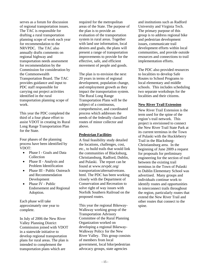serves as a forum for discussion of regional transportation issues. The TAC is responsible for drafting a rural transportation planning scope of work each year for recommendation to the NRVPDC. The TAC also annually drafts comments on regional highway and transportation needs assessment for recommendation by the Commission for consideration by the Commonwealth Transportation Board. The TAC provides guidance and input to PDC staff responsible for carrying out project activities identified in the rural transportation planning scope of work.

This year the PDC completed the third of a four phase effort to assist VDOT in creating its Rural Long Range Transportation Plan for the State.

Four phases of the planning process have been identified by VDOT:

- Phase I Goals and Data Collection
- Phase II Analysis and Problem Identification
- Phase III Public Outreach and Recommendation Development
- Phase IV Public Endorsement and Regional Adoption.

Each phase will take approximately one year to complete.

In July of 2006 the New River Valley Planning District Commission joined with VDOT in a statewide initiative to develop regional transportation plans for rural areas. The plan is intended to complement the transportation plans which are

required for the metropolitan areas of the State. The purpose of the plan is to provide an evaluation of the transportation system in rural areas. Together with land use information, local desires and goals, the plans will present a range of transportation improvements to provide for the effective, safe, and efficient movement of people and goods.

The plan is to envision the next 20 years in terms of regional development, population change, and employment growth as they impact the transportation system. The Rural Long Range Transportation Plans will be the subject of a continuous, comprehensive, and coordinated process which addresses the needs of the federally classified routes of minor collector and above.

#### **Pedestrian Facilities**

A final feasibility study detailed the locations, challenges, cost, etc., to build trails that would link the communities of Blacksburg, Christiansburg, Radford, Dublin, and Pulaski. The report can be found at www.nrvpdc.org/ transportation/alternativetrans. html. The PDC has been working closely with the Department of Conservation and Recreation to solve right of way issues with Norfolk Southern Railroad on the proposed routes.

This year the regional Bikeway-Walkway working group of the Transportation Advisory Committee of the Rural Planning Organization worked on developing a regional Bikeway-Walkway Policy for the New River Valley. This group consists of members from local government, local bike/pedestrian advocacy groups, state agencies

and institutions such as Radford University and Virginia Tech. The primary purpose of this group is to address regional bike and pedestrian development issues, communicate trail development efforts within local communities, and provide outside resources and connections to trail implementation efforts.

The PDC also provided resources to localities to develop Safe Routes to School Programs to local elementary and middle schools. This includes scheduling two separate workshops for the localities and their citizens.

#### **New River Trail Extension**

New River Trail Extension is the term used for the spine of the region's trail network. This project is envisioned to connect the New River Trail State Park at its current terminus in the Town of Pulaski with the Huckleberry Trail in the Blacksburg-Christiansburg area. In the beginning of June 2009 a request for proposals for preliminary engineering for the section of trail between the existing trail terminus in the Town of Pulaski to Dublin Elementary School was advertised. Many groups and individuals continue work to identify routes and opportunities to interconnect trails throughout the region, particularly routes that extend the New River Trail and other routes that connect to the spine.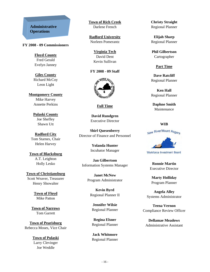# **Administrative Operations**

#### **FY 2008 - 09 Commissioners**

**Floyd County** Fred Gerald Evelyn Janney

**Giles County** Richard McCoy Leon Light

**Montgomery County** Mike Harvey Annette Perkins

> **Pulaski County** Joe Sheffey Shawn Utt

**Radford City** Tom Starnes, Chair Helen Harvey

**Town of Blacksburg** A.T. Leighton Holly Lesko

**Town of Christiansburg** Scott Weaver, Treasurer Henry Showalter

> **Town of Floyd** Mike Patton

**Town of Narrows** Tom Garrett

**Town of Pearisburg** Rebecca Moses, Vice Chair

> **Town of Pulaski** Larry Clevinger Joe Weddle

**Town of Rich Creek** Darlene French

**Radford University** Norleen Pomerantz

> **Virginia Tech** David Dent Kevin Sullivan

**FY 2008 - 09 Staff** 



**Full Time**

**David Rundgren**  Executive Director

**Shirl Quesenberry**  Director of Finance and Personnel

> **Yolanda Hunter**  Incubator Manager

**Jan Gilbertson**  Information Systems Manager

> **Janet McNew**  Program Administrator

**Kevin Byrd** Regional Planner II

**Jennifer Wilsie**  Regional Planner

**Regina Elsner**  Regional Planner

**Jack Whitmore**  Regional Planner **Christy Straight**  Regional Planner

**Elijah Sharp**  Regional Planner

**Phil Gilbertson** Cartographer

**Part Time**

**Dave Ratcliff**  Regional Planner

**Ken Hall**  Regional Planner

**Daphne Smith**  Maintenance

#### **WIB**



Workforce Investment Board

**Ronnie Martin**  Executive Director

**Marty Holliday**  Program Planner

**Angela Alley**  Systems Administrator

**Teena Vernon**  Compliance Review Officer

**Dellamae Meadows**  Administrative Assistant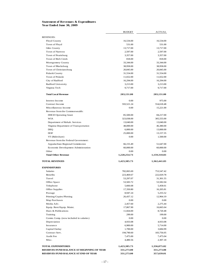#### **Statement of Revenues & Expenditures Year Ended June 30, 2009**

|                                            | <b>BUDGET</b>        | ACTUAL               |
|--------------------------------------------|----------------------|----------------------|
| <b>REVENUES:</b>                           |                      |                      |
| Floyd County                               | 16,534.00            | 16,534.00            |
| Town of Floyd                              | 531.00               | 531.00               |
| Giles County                               | 13,717.00            | 13,717.00            |
| <b>Town of Narrows</b>                     | 2,597.00             | 2,597.00             |
| Town of Pearisburg                         | 3,357.00             | 3,357.00             |
| Town of Rich Creek                         | 818.00               | 818.00               |
| Montgomery County                          | 33,344.00            | 33,344.00            |
| Town of Blacksburg                         | 38,958.00            | 38,958.00            |
| Town of Christiansburg                     | 20,845.00            | 20,845.00            |
| Pulaski County                             | 31,554.00            | 31,554.00            |
| Town of Pulaski                            | 11,652.00            | 11,652.00            |
| City of Radford                            | 16,294.00            | 16,294.00            |
| Radford University                         | 3,213.00             | 3,213.00             |
| Virginia Tech                              | 9,717.00             | 9,717.00             |
| <b>Total Local Revenue</b>                 | 203,131.00           | 203,131.00           |
| Interest Income                            | 0.00                 | 975.00               |
| Contract Income                            | 593,521.24           | 554,618.48           |
| Miscellaneous Income                       | 0.00                 | 15,221.00            |
| Revenue from the Commonwealth:             |                      |                      |
| <b>DHCD</b> Operating Grant                | 85,500.00            | 84,217.00            |
| <b>WIA</b>                                 | 323,038.00           | 305,555.00           |
| Department of Rehab. Services              | 13,040.00            | 13,040.00            |
| Virginia Department of Transportation      | 48,000.00            | 46,380.00            |
| <b>DEQ</b>                                 | 6,000.00             | 13,000.00            |
| <b>DOF</b>                                 | 25,000.00            | 13,157.35            |
| VT (Rideshare)                             | 0.00                 | 1,500.00             |
| Revenue from the Federal Government:       |                      |                      |
| Appalachian Regional Commission            | 66,155.49            | 51,647.00            |
| Economic Development Administration        | 60,000.00            | 60,000.00            |
| Other                                      | 0.00                 | 0.00                 |
| <b>Total Other Revenue</b>                 | 1,220,254.73         | 1,159,310.83         |
| <b>TOTAL REVENUES</b>                      | 1,423,385.73         | 1,362,441.83         |
| <b>EXPENDITURES</b>                        |                      |                      |
| <b>Salaries</b>                            | 782,065.69           | 753,547.42           |
| Benefits                                   | 223,469.67           | 222,029.78           |
| Travel                                     | 53,297.07            | 31,301.55            |
| Office Space                               | 53,583.72            | 53,582.04            |
| Telephone                                  | 5,666.68             | 5,458.61             |
| Office Supplies                            | 17,350.80            | 16,205.81            |
| Postage                                    | 8,947.24             | 5,255.52             |
| Printing/Copies/Plotting                   | 26,437.12            | 12,964.19            |
| Map Purchases                              | $0.00\,$             | 0.00                 |
| Media Adv.                                 | 2,457.60             | 2,275.44             |
| Equip. Rent/Equip. Maint.                  | 17,867.90            | 16,665.64            |
| Dues & Publications                        | 11,664.00            | 8,720.48             |
| Training                                   | 299.00               | 199.00               |
| Comm. Comp. (now included in salaries)     | $0.00\,$             | $0.00\,$             |
| Depreciation                               | 4,933.08             | 4,933.08             |
| Insurance                                  | 6,900.00             | 5,714.00             |
| Capital Outlay                             | 1,700.00             | 3,684.99             |
| Contract Serv.<br>Audit Fee                | 194,790.60           | 183,756.05           |
| Misc.                                      | 7,475.00<br>4,480.56 | 7,475.04<br>2,307.18 |
| <b>TOTAL EXPENDITURES</b>                  | 1,423,385.73         | 1,336,075.82         |
| RESERVES/FUND BALANCE AT BEGINNING OF YEAR | 331,273.00           | 331,273.00           |
| RESERVES/FUND BALANCE AT END OF YEAR       | 331,273.00           | 357,639.01           |